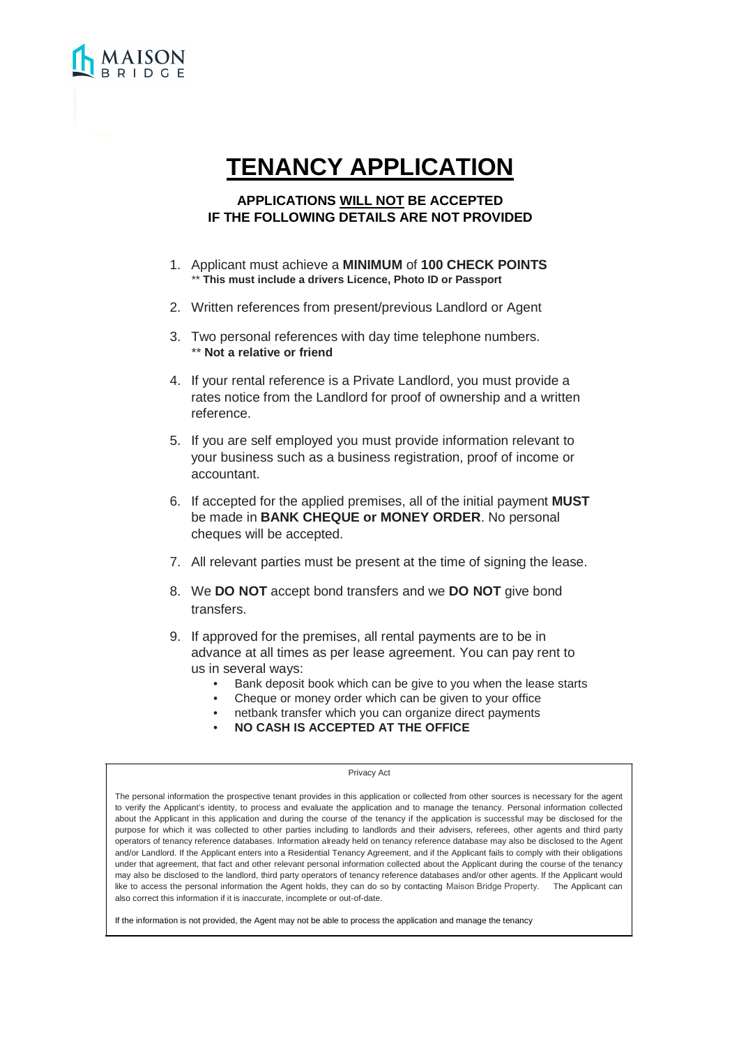# **TENANCY APPLICATION**

## **APPLICATIONS WILL NOT BE ACCEPTED IF THE FOLLOWING DETAILS ARE NOT PROVIDED**

- 1. Applicant must achieve a **MINIMUM** of **100 CHECK POINTS** \*\* **This must include a drivers Licence, Photo ID or Passport**
- 2. Written references from present/previous Landlord or Agent
- 3. Two personal references with day time telephone numbers. \*\* **Not a relative or friend**
- 4. If your rental reference is a Private Landlord, you must provide a rates notice from the Landlord for proof of ownership and a written reference.
- 5. If you are self employed you must provide information relevant to your business such as a business registration, proof of income or accountant.
- 6. If accepted for the applied premises, all of the initial payment **MUST** be made in **BANK CHEQUE or MONEY ORDER**. No personal cheques will be accepted.
- 7. All relevant parties must be present at the time of signing the lease.
- 8. We **DO NOT** accept bond transfers and we **DO NOT** give bond transfers.
- 9. If approved for the premises, all rental payments are to be in advance at all times as per lease agreement. You can pay rent to us in several ways:
	- Bank deposit book which can be give to you when the lease starts
	- Cheque or money order which can be given to your office
	- netbank transfer which you can organize direct payments
	- **NO CASH IS ACCEPTED AT THE OFFICE**

#### Privacy Act

The personal information the prospective tenant provides in this application or collected from other sources is necessary for the agent to verify the Applicant's identity, to process and evaluate the application and to manage the tenancy. Personal information collected about the Applicant in this application and during the course of the tenancy if the application is successful may be disclosed for the purpose for which it was collected to other parties including to landlords and their advisers, referees, other agents and third party operators of tenancy reference databases. Information already held on tenancy reference database may also be disclosed to the Agent and/or Landlord. If the Applicant enters into a Residential Tenancy Agreement, and if the Applicant fails to comply with their obligations under that agreement, that fact and other relevant personal information collected about the Applicant during the course of the tenancy may also be disclosed to the landlord, third party operators of tenancy reference databases and/or other agents. If the Applicant would like to access the personal information the Agent holds, they can do so by contacting Maison Bridge Property. The Applicant can also correct this information if it is inaccurate, incomplete or out-of-date.

If the information is not provided, the Agent may not be able to process the application and manage the tenancy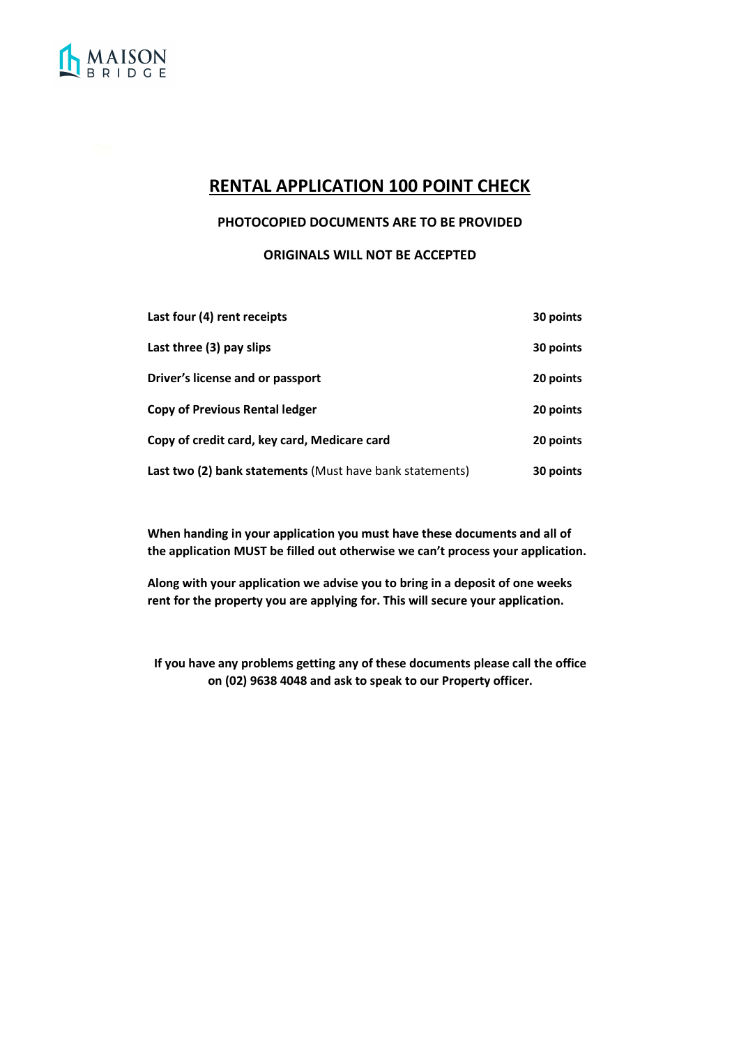

# **RENTAL APPLICATION 100 POINT CHECK**

### **PHOTOCOPIED DOCUMENTS ARE TO BE PROVIDED**

**ORIGINALS WILL NOT BE ACCEPTED**

| Last four (4) rent receipts                              | 30 points |
|----------------------------------------------------------|-----------|
| Last three (3) pay slips                                 | 30 points |
| Driver's license and or passport                         | 20 points |
| <b>Copy of Previous Rental ledger</b>                    | 20 points |
| Copy of credit card, key card, Medicare card             | 20 points |
| Last two (2) bank statements (Must have bank statements) | 30 points |

**When handing in your application you must have these documents and all of the application MUST be filled out otherwise we can't process your application.**

**Along with your application we advise you to bring in a deposit of one weeks rent for the property you are applying for. This will secure your application.**

**If you have any problems getting any of these documents please call the office on (02) 9638 4048 and ask to speak to our Property officer.**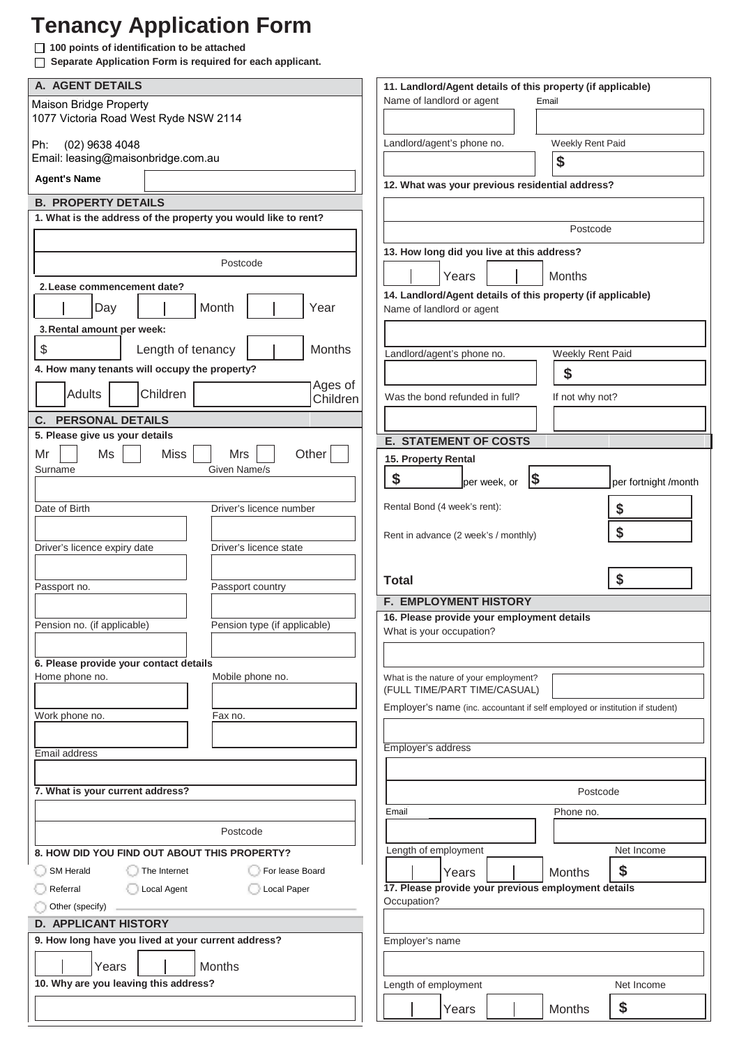# **Tenancy Application Form**

**100 points of identification to be attached** 

 **Separate Application Form is required for each applicant.**

| A. AGENT DETAILS                                               | 11. Landlord/Agent details of this property (if applicable)                  |
|----------------------------------------------------------------|------------------------------------------------------------------------------|
| <b>Maison Bridge Property</b>                                  | Name of landlord or agent<br>Email                                           |
| 1077 Victoria Road West Ryde NSW 2114                          |                                                                              |
| Ph:<br>(02) 9638 4048                                          | Landlord/agent's phone no.<br>Weekly Rent Paid                               |
| Email: leasing@maisonbridge.com.au                             |                                                                              |
|                                                                | \$                                                                           |
| <b>Agent's Name</b>                                            | 12. What was your previous residential address?                              |
| <b>B. PROPERTY DETAILS</b>                                     |                                                                              |
| 1. What is the address of the property you would like to rent? | Postcode                                                                     |
|                                                                |                                                                              |
| Postcode                                                       | 13. How long did you live at this address?                                   |
|                                                                | Years<br>Months                                                              |
| 2. Lease commencement date?                                    | 14. Landlord/Agent details of this property (if applicable)                  |
| Month<br>Day<br>Year                                           | Name of landlord or agent                                                    |
| 3. Rental amount per week:                                     |                                                                              |
| \$<br>Length of tenancy<br>Months                              |                                                                              |
|                                                                | Landlord/agent's phone no.<br>Weekly Rent Paid                               |
| 4. How many tenants will occupy the property?<br>Ages of       | \$                                                                           |
| Children<br><b>Adults</b><br>Children                          | Was the bond refunded in full?<br>If not why not?                            |
| <b>C. PERSONAL DETAILS</b>                                     |                                                                              |
| 5. Please give us your details                                 |                                                                              |
| Other<br>Ms<br>Mr<br><b>Miss</b><br>Mrs                        | <b>E. STATEMENT OF COSTS</b>                                                 |
| Given Name/s<br>Surname                                        | 15. Property Rental                                                          |
|                                                                | \$<br>$\vert \mathsf{s}$<br>per week, or<br>per fortnight /month             |
|                                                                | Rental Bond (4 week's rent):                                                 |
| Date of Birth<br>Driver's licence number                       | \$                                                                           |
|                                                                | \$<br>Rent in advance (2 week's / monthly)                                   |
| Driver's licence expiry date<br>Driver's licence state         |                                                                              |
|                                                                |                                                                              |
|                                                                |                                                                              |
| Passport no.<br>Passport country                               | \$<br><b>Total</b>                                                           |
|                                                                | <b>F. EMPLOYMENT HISTORY</b>                                                 |
|                                                                | 16. Please provide your employment details                                   |
| Pension no. (if applicable)<br>Pension type (if applicable)    | What is your occupation?                                                     |
|                                                                |                                                                              |
| 6. Please provide your contact details                         |                                                                              |
| Home phone no.<br>Mobile phone no.                             | What is the nature of your employment?<br>(FULL TIME/PART TIME/CASUAL)       |
|                                                                | Employer's name (inc. accountant if self employed or institution if student) |
| Work phone no.<br>Fax no.                                      |                                                                              |
|                                                                |                                                                              |
| Email address                                                  | Employer's address                                                           |
|                                                                |                                                                              |
| 7. What is your current address?                               | Postcode                                                                     |
|                                                                | Email<br>Phone no.                                                           |
| Postcode                                                       |                                                                              |
|                                                                | Length of employment<br>Net Income                                           |
| 8. HOW DID YOU FIND OUT ABOUT THIS PROPERTY?                   |                                                                              |
| For lease Board<br><b>SM Herald</b><br>The Internet            | \$<br>Months<br>Years                                                        |
| Local Agent<br>Local Paper<br>Referral                         | 17. Please provide your previous employment details<br>Occupation?           |
| Other (specify)                                                |                                                                              |
| <b>D. APPLICANT HISTORY</b>                                    |                                                                              |
| 9. How long have you lived at your current address?            | Employer's name                                                              |
| <b>Months</b><br>Years                                         |                                                                              |
| 10. Why are you leaving this address?                          | Length of employment<br>Net Income                                           |
|                                                                | \$<br>Years<br>Months                                                        |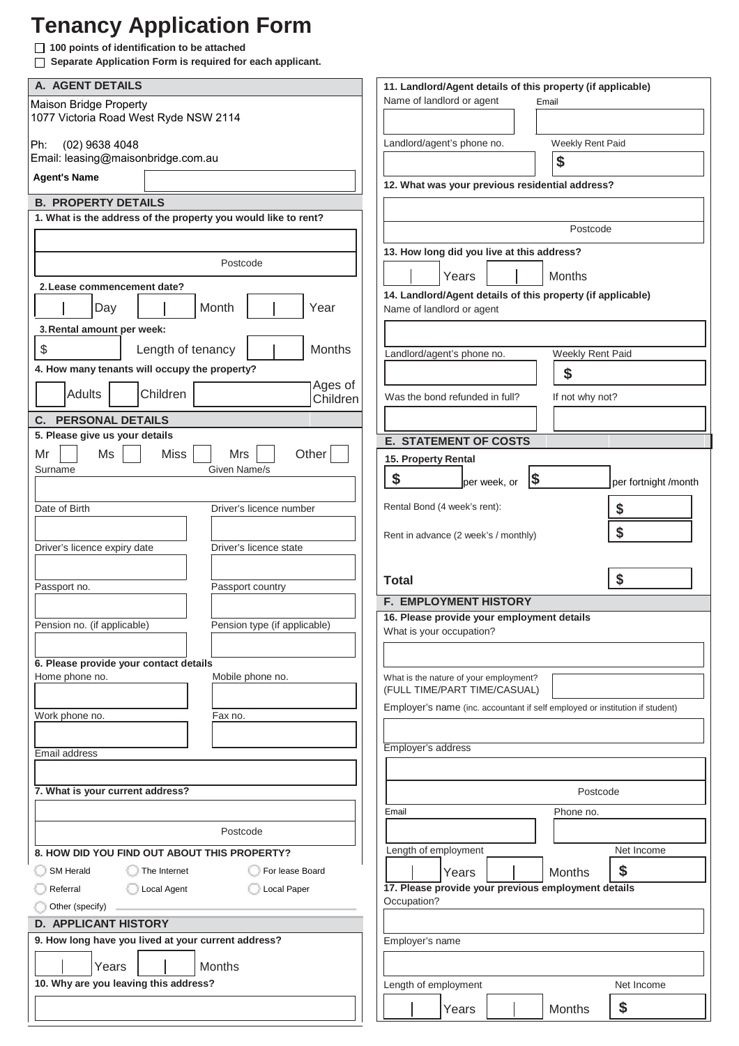# **Tenancy Application Form**

**100 points of identification to be attached** 

 **Separate Application Form is required for each applicant.**

| A. AGENT DETAILS                                               |                              | 11. Landlord/Agent details of this property (if applicable)                  |                            |
|----------------------------------------------------------------|------------------------------|------------------------------------------------------------------------------|----------------------------|
| <b>Maison Bridge Property</b>                                  |                              | Name of landlord or agent                                                    | Email                      |
| 1077 Victoria Road West Ryde NSW 2114                          |                              |                                                                              |                            |
| (02) 9638 4048<br>Ph:                                          |                              | Landlord/agent's phone no.                                                   | Weekly Rent Paid           |
| Email: leasing@maisonbridge.com.au                             |                              |                                                                              |                            |
| <b>Agent's Name</b>                                            |                              |                                                                              | \$                         |
|                                                                |                              | 12. What was your previous residential address?                              |                            |
| <b>B. PROPERTY DETAILS</b>                                     |                              |                                                                              |                            |
| 1. What is the address of the property you would like to rent? |                              |                                                                              | Postcode                   |
|                                                                |                              |                                                                              |                            |
|                                                                | Postcode                     | 13. How long did you live at this address?                                   |                            |
|                                                                |                              | Years                                                                        | Months                     |
| 2. Lease commencement date?                                    |                              | 14. Landlord/Agent details of this property (if applicable)                  |                            |
| Day                                                            | Month<br>Year                | Name of landlord or agent                                                    |                            |
| 3. Rental amount per week:                                     |                              |                                                                              |                            |
| \$<br>Length of tenancy                                        | <b>Months</b>                |                                                                              |                            |
|                                                                |                              | Landlord/agent's phone no.                                                   | <b>Weekly Rent Paid</b>    |
| 4. How many tenants will occupy the property?                  | Ages of                      |                                                                              | \$                         |
| Children<br><b>Adults</b>                                      | Children                     | Was the bond refunded in full?                                               | If not why not?            |
| <b>C. PERSONAL DETAILS</b>                                     |                              |                                                                              |                            |
| 5. Please give us your details                                 |                              |                                                                              |                            |
| Ms<br><b>Miss</b><br>Mr                                        | Other<br>Mrs                 | <b>E. STATEMENT OF COSTS</b>                                                 |                            |
| Surname                                                        | Given Name/s                 | 15. Property Rental                                                          |                            |
|                                                                |                              | \$<br>$\sqrt{3}$<br>per week, or                                             | per fortnight /month       |
| Date of Birth                                                  | Driver's licence number      | Rental Bond (4 week's rent):                                                 |                            |
|                                                                |                              |                                                                              |                            |
|                                                                |                              | Rent in advance (2 week's / monthly)                                         |                            |
|                                                                |                              |                                                                              |                            |
| Driver's licence expiry date                                   | Driver's licence state       |                                                                              |                            |
|                                                                |                              |                                                                              |                            |
| Passport no.                                                   | Passport country             | <b>Total</b>                                                                 | \$                         |
|                                                                |                              | <b>F. EMPLOYMENT HISTORY</b>                                                 |                            |
| Pension no. (if applicable)                                    | Pension type (if applicable) | 16. Please provide your employment details                                   |                            |
|                                                                |                              | What is your occupation?                                                     |                            |
|                                                                |                              |                                                                              |                            |
| 6. Please provide your contact details<br>Home phone no.       | Mobile phone no.             | What is the nature of your employment?                                       |                            |
|                                                                |                              | (FULL TIME/PART TIME/CASUAL)                                                 |                            |
|                                                                |                              | Employer's name (inc. accountant if self employed or institution if student) |                            |
| Work phone no.                                                 | Fax no.                      |                                                                              |                            |
|                                                                |                              | Employer's address                                                           |                            |
| Email address                                                  |                              |                                                                              |                            |
|                                                                |                              |                                                                              |                            |
| 7. What is your current address?                               |                              |                                                                              | Postcode                   |
|                                                                |                              | Email                                                                        | Phone no.                  |
|                                                                | Postcode                     |                                                                              |                            |
| 8. HOW DID YOU FIND OUT ABOUT THIS PROPERTY?                   |                              | Length of employment                                                         | Net Income                 |
| <b>SM Herald</b><br>The Internet                               | For lease Board              | Years                                                                        | \$<br>Months               |
| Local Agent<br>Referral                                        | Local Paper                  | 17. Please provide your previous employment details                          |                            |
| Other (specify)                                                |                              | Occupation?                                                                  |                            |
| <b>D. APPLICANT HISTORY</b>                                    |                              |                                                                              |                            |
| 9. How long have you lived at your current address?            |                              | Employer's name                                                              |                            |
|                                                                |                              |                                                                              |                            |
| Years                                                          | <b>Months</b>                |                                                                              |                            |
| 10. Why are you leaving this address?                          |                              | Length of employment<br>Years                                                | Net Income<br>\$<br>Months |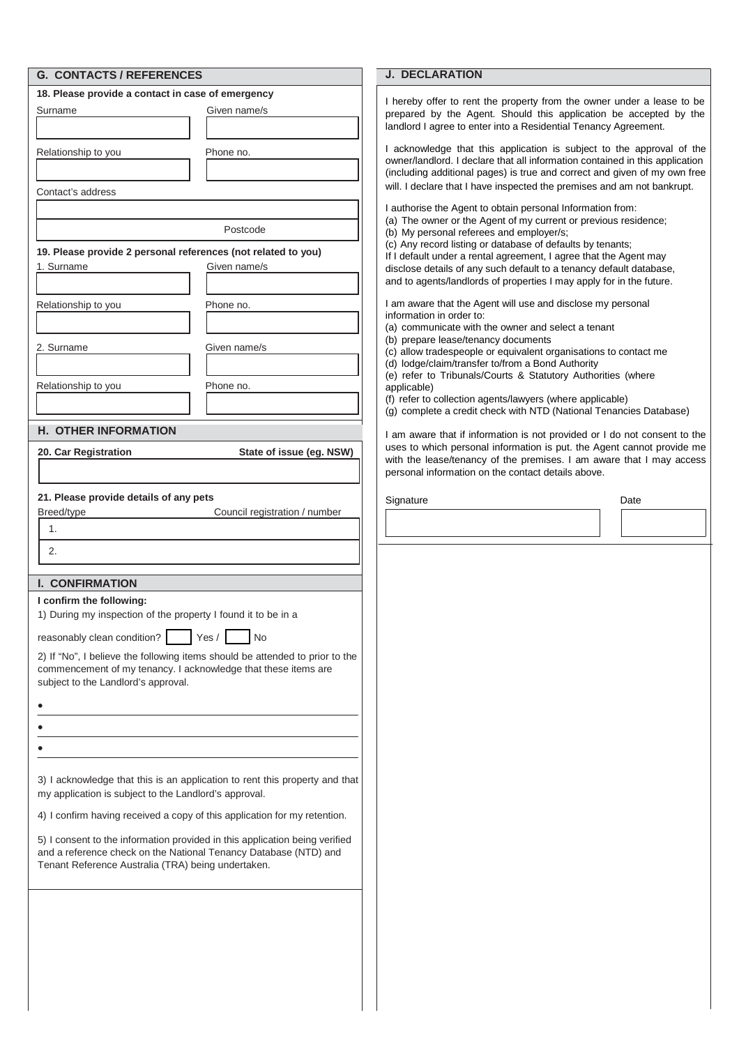| <b>G. CONTACTS / REFERENCES</b>                                                                                                                                                       | <b>J. DECLARATION</b>                                                                                                                                                                                                              |
|---------------------------------------------------------------------------------------------------------------------------------------------------------------------------------------|------------------------------------------------------------------------------------------------------------------------------------------------------------------------------------------------------------------------------------|
| 18. Please provide a contact in case of emergency<br>Given name/s<br>Surname                                                                                                          | I hereby offer to rent the property from the owner under a lease to be<br>prepared by the Agent. Should this application be accepted by the                                                                                        |
|                                                                                                                                                                                       | landlord I agree to enter into a Residential Tenancy Agreement.                                                                                                                                                                    |
| Relationship to you<br>Phone no.                                                                                                                                                      | I acknowledge that this application is subject to the approval of the<br>owner/landlord. I declare that all information contained in this application<br>(including additional pages) is true and correct and given of my own free |
| Contact's address                                                                                                                                                                     | will. I declare that I have inspected the premises and am not bankrupt.                                                                                                                                                            |
|                                                                                                                                                                                       | I authorise the Agent to obtain personal Information from:<br>(a) The owner or the Agent of my current or previous residence;                                                                                                      |
| Postcode                                                                                                                                                                              | (b) My personal referees and employer/s;<br>(c) Any record listing or database of defaults by tenants;                                                                                                                             |
| 19. Please provide 2 personal references (not related to you)<br>1. Surname<br>Given name/s                                                                                           | If I default under a rental agreement, I agree that the Agent may<br>disclose details of any such default to a tenancy default database,                                                                                           |
|                                                                                                                                                                                       | and to agents/landlords of properties I may apply for in the future.                                                                                                                                                               |
| Relationship to you<br>Phone no.                                                                                                                                                      | I am aware that the Agent will use and disclose my personal<br>information in order to:<br>(a) communicate with the owner and select a tenant                                                                                      |
| 2. Surname<br>Given name/s                                                                                                                                                            | (b) prepare lease/tenancy documents                                                                                                                                                                                                |
|                                                                                                                                                                                       | (c) allow tradespeople or equivalent organisations to contact me<br>(d) lodge/claim/transfer to/from a Bond Authority                                                                                                              |
| Relationship to you<br>Phone no.                                                                                                                                                      | (e) refer to Tribunals/Courts & Statutory Authorities (where<br>applicable)                                                                                                                                                        |
|                                                                                                                                                                                       | (f) refer to collection agents/lawyers (where applicable)<br>(g) complete a credit check with NTD (National Tenancies Database)                                                                                                    |
| <b>H. OTHER INFORMATION</b>                                                                                                                                                           | I am aware that if information is not provided or I do not consent to the                                                                                                                                                          |
| State of issue (eg. NSW)<br>20. Car Registration                                                                                                                                      | uses to which personal information is put. the Agent cannot provide me                                                                                                                                                             |
|                                                                                                                                                                                       | with the lease/tenancy of the premises. I am aware that I may access<br>personal information on the contact details above.                                                                                                         |
| 21. Please provide details of any pets                                                                                                                                                | Signature<br>Date                                                                                                                                                                                                                  |
| Breed/type<br>Council registration / number<br>1.                                                                                                                                     |                                                                                                                                                                                                                                    |
|                                                                                                                                                                                       |                                                                                                                                                                                                                                    |
| 2.                                                                                                                                                                                    |                                                                                                                                                                                                                                    |
| <b>I. CONFIRMATION</b>                                                                                                                                                                |                                                                                                                                                                                                                                    |
| I confirm the following:<br>1) During my inspection of the property I found it to be in a                                                                                             |                                                                                                                                                                                                                                    |
| reasonably clean condition?<br>Yes /<br>No                                                                                                                                            |                                                                                                                                                                                                                                    |
| 2) If "No", I believe the following items should be attended to prior to the<br>commencement of my tenancy. I acknowledge that these items are<br>subject to the Landlord's approval. |                                                                                                                                                                                                                                    |
|                                                                                                                                                                                       |                                                                                                                                                                                                                                    |
|                                                                                                                                                                                       |                                                                                                                                                                                                                                    |
|                                                                                                                                                                                       |                                                                                                                                                                                                                                    |
| 3) I acknowledge that this is an application to rent this property and that<br>my application is subject to the Landlord's approval.                                                  |                                                                                                                                                                                                                                    |
| 4) I confirm having received a copy of this application for my retention.                                                                                                             |                                                                                                                                                                                                                                    |
| 5) I consent to the information provided in this application being verified<br>and a reference check on the National Tenancy Database (NTD) and                                       |                                                                                                                                                                                                                                    |
| Tenant Reference Australia (TRA) being undertaken.                                                                                                                                    |                                                                                                                                                                                                                                    |
|                                                                                                                                                                                       |                                                                                                                                                                                                                                    |
|                                                                                                                                                                                       |                                                                                                                                                                                                                                    |
|                                                                                                                                                                                       |                                                                                                                                                                                                                                    |
|                                                                                                                                                                                       |                                                                                                                                                                                                                                    |
|                                                                                                                                                                                       |                                                                                                                                                                                                                                    |
|                                                                                                                                                                                       |                                                                                                                                                                                                                                    |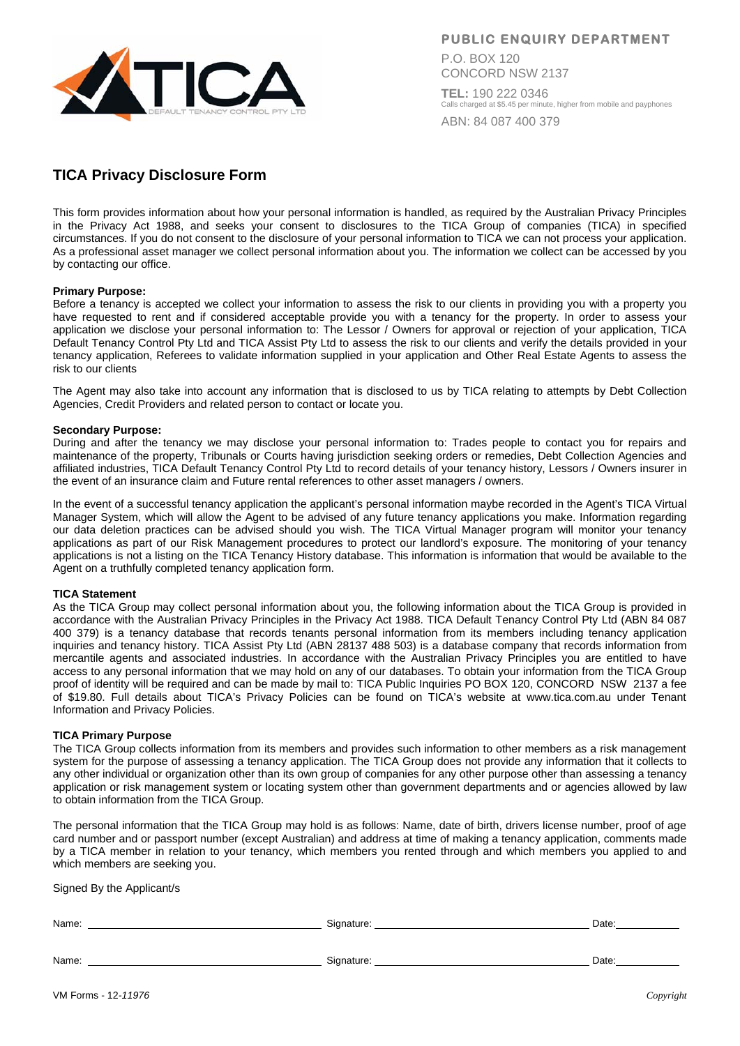

**PUBLIC ENQUIRY DEPARTMENT** 

P.O. BOX 120 CONCORD NSW 2137

**TEL:** 190 222 0346 Calls charged at \$5.45 per minute, higher from mobile and payphones ABN: 84 087 400 379

# **TICA Privacy Disclosure Form**

This form provides information about how your personal information is handled, as required by the Australian Privacy Principles in the Privacy Act 1988, and seeks your consent to disclosures to the TICA Group of companies (TICA) in specified circumstances. If you do not consent to the disclosure of your personal information to TICA we can not process your application. As a professional asset manager we collect personal information about you. The information we collect can be accessed by you by contacting our office.

### **Primary Purpose:**

Before a tenancy is accepted we collect your information to assess the risk to our clients in providing you with a property you have requested to rent and if considered acceptable provide you with a tenancy for the property. In order to assess your application we disclose your personal information to: The Lessor / Owners for approval or rejection of your application, TICA Default Tenancy Control Pty Ltd and TICA Assist Pty Ltd to assess the risk to our clients and verify the details provided in your tenancy application, Referees to validate information supplied in your application and Other Real Estate Agents to assess the risk to our clients

The Agent may also take into account any information that is disclosed to us by TICA relating to attempts by Debt Collection Agencies, Credit Providers and related person to contact or locate you.

#### **Secondary Purpose:**

During and after the tenancy we may disclose your personal information to: Trades people to contact you for repairs and maintenance of the property, Tribunals or Courts having jurisdiction seeking orders or remedies, Debt Collection Agencies and affiliated industries, TICA Default Tenancy Control Pty Ltd to record details of your tenancy history, Lessors / Owners insurer in the event of an insurance claim and Future rental references to other asset managers / owners.

In the event of a successful tenancy application the applicant's personal information maybe recorded in the Agent's TICA Virtual Manager System, which will allow the Agent to be advised of any future tenancy applications you make. Information regarding our data deletion practices can be advised should you wish. The TICA Virtual Manager program will monitor your tenancy applications as part of our Risk Management procedures to protect our landlord's exposure. The monitoring of your tenancy applications is not a listing on the TICA Tenancy History database. This information is information that would be available to the Agent on a truthfully completed tenancy application form.

#### **TICA Statement**

As the TICA Group may collect personal information about you, the following information about the TICA Group is provided in accordance with the Australian Privacy Principles in the Privacy Act 1988. TICA Default Tenancy Control Pty Ltd (ABN 84 087 400 379) is a tenancy database that records tenants personal information from its members including tenancy application inquiries and tenancy history. TICA Assist Pty Ltd (ABN 28137 488 503) is a database company that records information from mercantile agents and associated industries. In accordance with the Australian Privacy Principles you are entitled to have access to any personal information that we may hold on any of our databases. To obtain your information from the TICA Group proof of identity will be required and can be made by mail to: TICA Public Inquiries PO BOX 120, CONCORD NSW 2137 a fee of \$19.80. Full details about TICA's Privacy Policies can be found on TICA's website at www.tica.com.au under Tenant Information and Privacy Policies.

#### **TICA Primary Purpose**

The TICA Group collects information from its members and provides such information to other members as a risk management system for the purpose of assessing a tenancy application. The TICA Group does not provide any information that it collects to any other individual or organization other than its own group of companies for any other purpose other than assessing a tenancy application or risk management system or locating system other than government departments and or agencies allowed by law to obtain information from the TICA Group.

The personal information that the TICA Group may hold is as follows: Name, date of birth, drivers license number, proof of age card number and or passport number (except Australian) and address at time of making a tenancy application, comments made by a TICA member in relation to your tenancy, which members you rented through and which members you applied to and which members are seeking you.

Signed By the Applicant/s

| Name: | Signature: | Date: |
|-------|------------|-------|
| Name: | Signature: | Date: |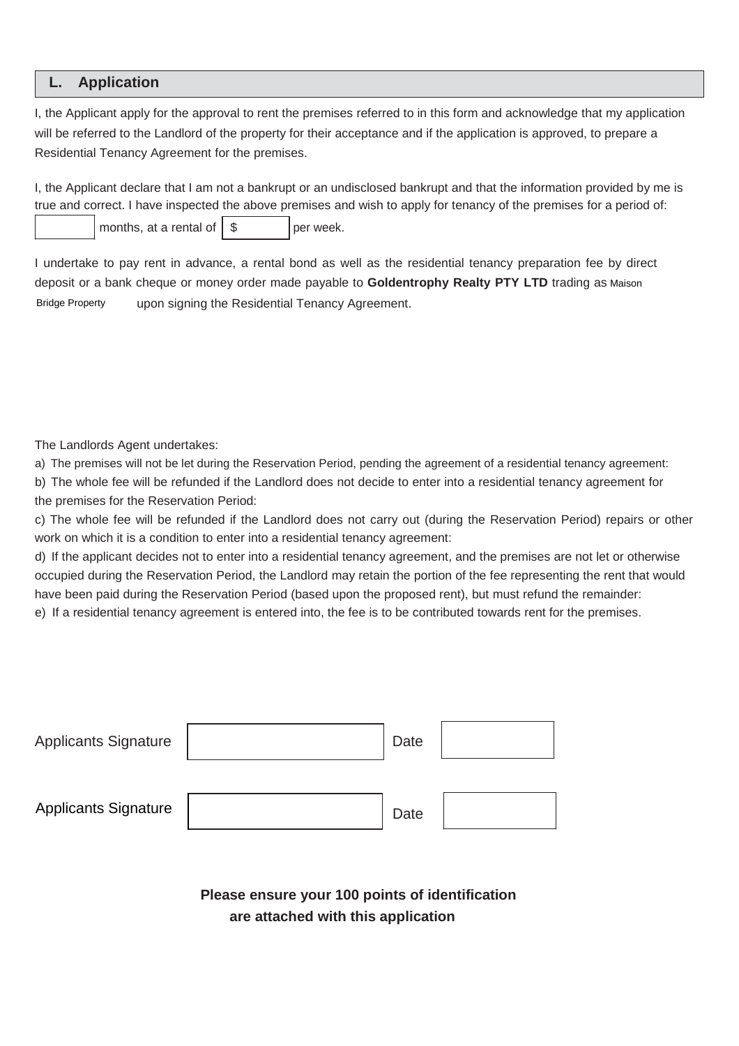## **L. Application**

I, the Applicant apply for the approval to rent the premises referred to in this form and acknowledge that my application will be referred to the Landlord of the property for their acceptance and if the application is approved, to prepare a Residential Tenancy Agreement for the premises.

I, the Applicant declare that I am not a bankrupt or an undisclosed bankrupt and that the information provided by me is true and correct. I have inspected the above premises and wish to apply for tenancy of the premises for a period of:

months, at a rental of  $\|\$ 

I undertake to pay rent in advance, a rental bond as well as the residential tenancy preparation fee by direct deposit or a bank cheque or money order made payable to Goldentrophy Realty PTY LTD trading as Maison upon signing the Residential Tenancy Agreement. **Bridge Property** 

The Landlords Agent undertakes:

a) The premises will not be let during the Reservation Period, pending the agreement of a residential tenancy agreement:

b) The whole fee will be refunded if the Landlord does not decide to enter into a residential tenancy agreement for the premises for the Reservation Period:

c) The whole fee will be refunded if the Landlord does not carry out (during the Reservation Period) repairs or other work on which it is a condition to enter into a residential tenancy agreement:

d) If the applicant decides not to enter into a residential tenancy agreement, and the premises are not let or otherwise occupied during the Reservation Period, the Landlord may retain the portion of the fee representing the rent that would have been paid during the Reservation Period (based upon the proposed rent), but must refund the remainder:

e) If a residential tenancy agreement is entered into, the fee is to be contributed towards rent for the premises.

| <b>Applicants Signature</b> | Date |  |
|-----------------------------|------|--|
|                             |      |  |
| <b>Applicants Signature</b> | Date |  |

**Please ensure your 100 points of identification are attached with this application**